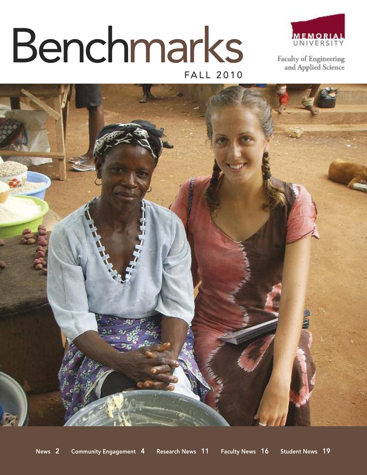# FALL 2010 Benchmarks



Faculty of Engineering and Applied Science

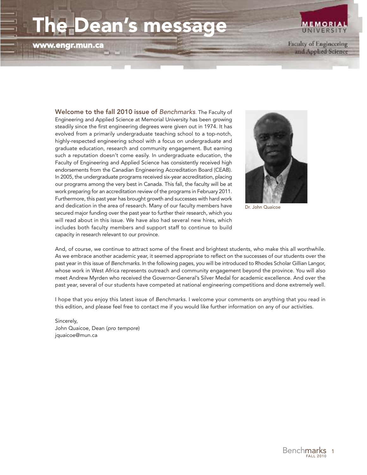## **The Dean's message**

**www.engr.mun.ca**



and Applied Science

**Welcome to the fall 2010 issue of** *Benchmarks*. The Faculty of Engineering and Applied Science at Memorial University has been growing steadily since the first engineering degrees were given out in 1974. It has evolved from a primarily undergraduate teaching school to a top-notch, highly-respected engineering school with a focus on undergraduate and graduate education, research and community engagement. But earning such a reputation doesn't come easily. In undergraduate education, the Faculty of Engineering and Applied Science has consistently received high endorsements from the Canadian Engineering Accreditation Board (CEAB). In 2005, the undergraduate programs received six-year accreditation, placing our programs among the very best in Canada. This fall, the faculty will be at work preparing for an accreditation review of the programs in February 2011. Furthermore, this past year has brought growth and successes with hard work and dedication in the area of research. Many of our faculty members have secured major funding over the past year to further their research, which you will read about in this issue. We have also had several new hires, which includes both faculty members and support staff to continue to build capacity in research relevant to our province.



Dr. John Quaicoe

And, of course, we continue to attract some of the finest and brightest students, who make this all worthwhile. As we embrace another academic year, it seemed appropriate to reflect on the successes of our students over the past year in this issue of *Benchmarks*. In the following pages, you will be introduced to Rhodes Scholar Gillian Langor, whose work in West Africa represents outreach and community engagement beyond the province. You will also meet Andrew Myrden who received the Governor-General's Silver Medal for academic excellence. And over the past year, several of our students have competed at national engineering competitions and done extremely well.

I hope that you enjoy this latest issue of *Benchmarks*. I welcome your comments on anything that you read in this edition, and please feel free to contact me if you would like further information on any of our activities.

Sincerely, John Quaicoe, Dean (*pro tempore*) jquaicoe@mun.ca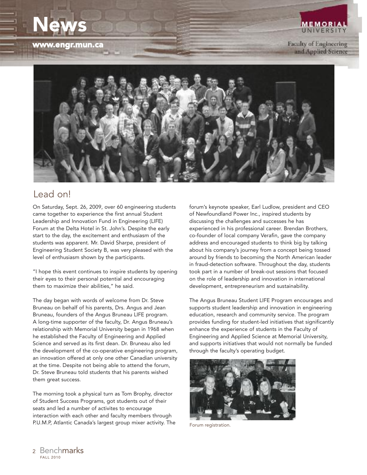# **News**

**www.engr.mun.ca**

**Faculty of Engineering** and Applied Science

**MEMORIA UNIVERSIT** 



#### Lead on!

On Saturday, Sept. 26, 2009, over 60 engineering students came together to experience the first annual Student Leadership and Innovation Fund in Engineering (LIFE) Forum at the Delta Hotel in St. John's. Despite the early start to the day, the excitement and enthusiasm of the students was apparent. Mr. David Sharpe, president of Engineering Student Society B, was very pleased with the level of enthusiasm shown by the participants.

"I hope this event continues to inspire students by opening their eyes to their personal potential and encouraging them to maximize their abilities," he said.

The day began with words of welcome from Dr. Steve Bruneau on behalf of his parents, Drs. Angus and Jean Bruneau, founders of the Angus Bruneau LIFE program. A long-time supporter of the faculty, Dr. Angus Bruneau's relationship with Memorial University began in 1968 when he established the Faculty of Engineering and Applied Science and served as its first dean. Dr. Bruneau also led the development of the co-operative engineering program, an innovation offered at only one other Canadian university at the time. Despite not being able to attend the forum, Dr. Steve Bruneau told students that his parents wished them great success.

The morning took a physical turn as Tom Brophy, director of Student Success Programs, got students out of their seats and led a number of activites to encourage interaction with each other and faculty members through P.U.M.P, Atlantic Canada's largest group mixer activity. The forum's keynote speaker, Earl Ludlow, president and CEO of Newfoundland Power Inc., inspired students by discussing the challenges and successes he has experienced in his professional career. Brendan Brothers, co-founder of local company Verafin, gave the company address and encouraged students to think big by talking about his company's journey from a concept being tossed around by friends to becoming the North American leader in fraud-detection software. Throughout the day, students took part in a number of break-out sessions that focused on the role of leadership and innovation in international development, entrepreneurism and sustainability.

The Angus Bruneau Student LIFE Program encourages and supports student leadership and innovation in engineering education, research and community service. The program provides funding for student-led initiatives that significantly enhance the experience of students in the Faculty of Engineering and Applied Science at Memorial University, and supports initiatives that would not normally be funded through the faculty's operating budget.



Forum registration.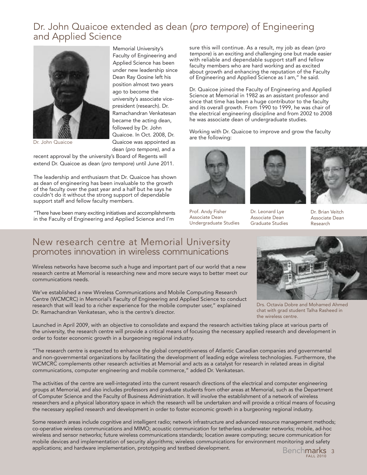#### Dr. John Quaicoe extended as dean (*pro tempore*) of Engineering and Applied Science



Memorial University's Faculty of Engineering and Applied Science has been under new leadership since Dean Ray Gosine left his position almost two years ago to become the university's associate vicepresident (research). Dr. Ramachandran Venkatesan became the acting dean, followed by Dr. John Quaicoe. In Oct. 2008, Dr. Quaicoe was appointed as dean (*pro tempore)*, and a

Dr. John Quaicoe

recent approval by the university's Board of Regents will extend Dr. Quaicoe as dean (*pro tempore*) until June 2011.

The leadership and enthusiasm that Dr. Quaicoe has shown as dean of engineering has been invaluable to the growth of the faculty over the past year and a half but he says he couldn't do it without the strong support of dependable support staff and fellow faculty members.

"There have been many exciting initiatives and accomplishments in the Faculty of Engineering and Applied Science and I'm

sure this will continue. As a result, my job as dean (*pro tempore*) is an exciting and challenging one but made easier with reliable and dependable support staff and fellow faculty members who are hard working and as excited about growth and enhancing the reputation of the Faculty of Engineering and Applied Science as I am," he said.

Dr. Quaicoe joined the Faculty of Engineering and Applied Science at Memorial in 1982 as an assistant professor and since that time has been a huge contributor to the faculty and its overall growth. From 1990 to 1999, he was chair of the electrical engineering discipline and from 2002 to 2008 he was associate dean of undergraduate studies.

Working with Dr. Quaicoe to improve and grow the faculty are the following:



Prof. Andy Fisher Associate Dean Undergraduate Studies



Dr. Leonard Lye Associate Dean Graduate Studies



Dr. Brian Veitch Associate Dean Research

#### New research centre at Memorial University promotes innovation in wireless communications

research centre at Memorial is researching new and more secure ways to better meet our communications needs.

We've established a new Wireless Communications and Mobile Computing Research Centre (WCMCRC) in Memorial's Faculty of Engineering and Applied Science to conduct research that will lead to a richer experience for the mobile computer user," explained Dr. Ramachandran Venkatesan, who is the centre's director.

Launched in April 2009, with an objective to consolidate and expand the research activities taking place at various parts of the university, the research centre will provide a critical means of focusing the necessary applied research and development in order to foster economic growth in a burgeoning regional industry.

"The research centre is expected to enhance the global competitiveness of Atlantic Canadian companies and governmental and non-governmental organizations by facilitating the development of leading edge wireless technologies. Furthermore, the WCMCRC complements other research activities at Memorial and acts as a catalyst for research in related areas in digital communications, computer engineering and mobile commerce," added Dr. Venkatesan.

The activities of the centre are well-integrated into the current research directions of the electrical and computer engineering groups at Memorial, and also includes professors and graduate students from other areas at Memorial, such as the Department of Computer Science and the Faculty of Business Administration. It will involve the establishment of a network of wireless researchers and a physical laboratory space in which the research will be undertaken and will provide a critical means of focusing the necessary applied research and development in order to foster economic growth in a burgeoning regional industry.

Some research areas include cognitive and intelligent radio; network infrastructure and advanced resource management methods; co-operative wireless communications and MIMO; acoustic communication for tetherless underwater networks; mobile, ad-hoc wireless and sensor networks; future wireless communications standards; location aware computing; secure communication for mobile devices and implementation of security algorithms; wireless communications for environment monitoring and safety applications; and hardware implementation, prototyping and testbed development.



Wireless networks have become such a huge and important part of our world that a new

Drs. Octavia Dobre and Mohamed Ahmed chat with grad student Talha Rasheed in the wireless centre.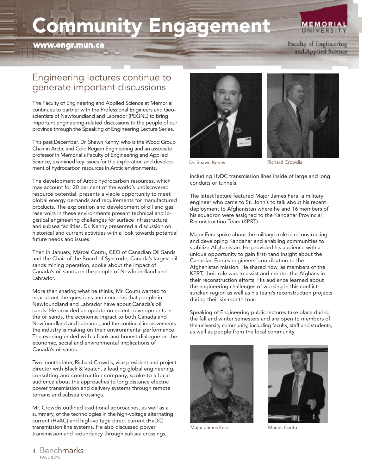# **Community Engagement**

**www.engr.mun.ca**

#### **MEMORIAL UNIVERSIT**

**Faculty of Engineering** and Applied Science

## Engineering lectures continue to generate important discussions

The Faculty of Engineering and Applied Science at Memorial continues to partner with the Professional Engineers and Geoscientists of Newfoundland and Labrador (PEGNL) to bring important engineering-related discussions to the people of our province through the Speaking of Engineering Lecture Series.

This past December, Dr. Shawn Kenny, who is the Wood Group Chair in Arctic and Cold Region Engineering and an associate professor in Memorial's Faculty of Engineering and Applied Science, examined key issues for the exploration and development of hydrocarbon resources in Arctic environments.

The development of Arctic hydrocarbon resources, which may account for 20 per cent of the world's undiscovered resource potential, presents a viable opportunity to meet global energy demands and requirements for manufactured products. The exploration and development of oil and gas reservoirs in these environments present technical and logistical engineering challenges for surface infrastructure and subsea facilities. Dr. Kenny presented a discussion on historical and current activities with a look towards potential future needs and issues.

Then in January, Marcel Coutu, CEO of Canadian Oil Sands and the Chair of the Board of Syncrude, Canada's largest oil sands mining operation, spoke about the impact of Canada's oil sands on the people of Newfoundland and Labrador.

More than sharing what he thinks, Mr. Coutu wanted to hear about the questions and concerns that people in Newfoundland and Labrador have about Canada's oil sands. He provided an update on recent developments in the oil sands, the economic impact to both Canada and Newfoundland and Labrador, and the continual improvements the industry is making on their environmental performance. The evening ended with a frank and honest dialogue on the economic, social and environmental implications of Canada's oil sands.

Two months later, Richard Crowdis, vice president and project director with Black & Veatch, a leading global engineering, consulting and construction company, spoke to a local audience about the approaches to long distance electric power transmission and delivery systems through remote terrains and subsea crossings.

Mr. Crowdis outlined traditional approaches, as well as a summary, of the technologies in the high-voltage alternating current (HvAC) and high-voltage direct current (HvDC) transmission line systems. He also discussed power transmission and redundancy through subsea crossings,





Dr. Shawn Kenny **Richard Crowdis** 

including HvDC transmission lines inside of large and long conduits or tunnels.

The latest lecture featured Major James Fera, a military engineer who came to St. John's to talk about his recent deployment to Afghanistan where he and 16 members of his squadron were assigned to the Kandahar Provincial Reconstruction Team (KPRT).

Major Fera spoke about the military's role in reconstructing and developing Kandahar and enabling communities to stabilize Afghanistan. He provided his audience with a unique opportunity to gain first-hand insight about the Canadian Forces engineers' contribution to the Afghanistan mission. He shared how, as members of the KPRT, their role was to assist and mentor the Afghans in their reconstruction efforts. His audience learned about the engineering challenges of working in this conflictstricken region as well as his team's reconstruction projects during their six-month tour.

Speaking of Engineering public lectures take place during the fall and winter semesters and are open to members of the university community, including faculty, staff and students, as well as people from the local community.



Major James Fera Marcel Coutu

FALL 2010 <sup>4</sup> Benchmarks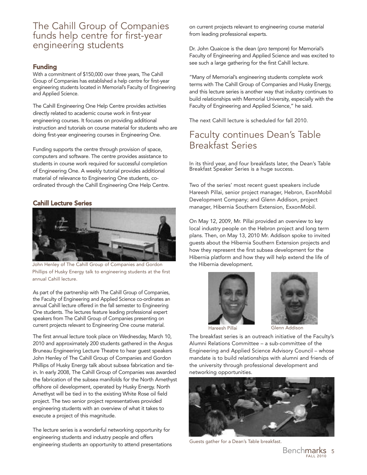#### The Cahill Group of Companies funds help centre for first-year engineering students

#### **Funding**

With a commitment of \$150,000 over three years, The Cahill Group of Companies has established a help centre for first-year engineering students located in Memorial's Faculty of Engineering and Applied Science.

The Cahill Engineering One Help Centre provides activities directly related to academic course work in first-year engineering courses. It focuses on providing additional instruction and tutorials on course material for students who are doing first-year engineering courses in Engineering One.

Funding supports the centre through provision of space, computers and software. The centre provides assistance to students in course work required for successful completion of Engineering One. A weekly tutorial provides additional material of relevance to Engineering One students, coordinated through the Cahill Engineering One Help Centre.

#### **Cahill Lecture Series**



John Henley of The Cahill Group of Companies and Gordon Phillips of Husky Energy talk to engineering students at the first annual Cahill lecture.

As part of the partnership with The Cahill Group of Companies, the Faculty of Engineering and Applied Science co-ordinates an annual Cahill lecture offered in the fall semester to Engineering One students. The lectures feature leading professional expert speakers from The Cahill Group of Companies presenting on current projects relevant to Engineering One course material.

The first annual lecture took place on Wednesday, March 10, 2010 and approximately 200 students gathered in the Angus Bruneau Engineering Lecture Theatre to hear guest speakers John Henley of The Cahill Group of Companies and Gordon Phillips of Husky Energy talk about subsea fabrication and tiein. In early 2008, The Cahill Group of Companies was awarded the fabrication of the subsea manifolds for the North Amethyst offshore oil development, operated by Husky Energy. North Amethyst will be tied in to the existing White Rose oil field project. The two senior project representatives provided engineering students with an overview of what it takes to execute a project of this magnitude.

The lecture series is a wonderful networking opportunity for engineering students and industry people and offers engineering students an opportunity to attend presentations on current projects relevant to engineering course material from leading professional experts.

Dr. John Quaicoe is the dean (*pro tempore*) for Memorial's Faculty of Engineering and Applied Science and was excited to see such a large gathering for the first Cahill lecture.

"Many of Memorial's engineering students complete work terms with The Cahill Group of Companies and Husky Energy, and this lecture series is another way that industry continues to build relationships with Memorial University, especially with the Faculty of Engineering and Applied Science," he said.

The next Cahill lecture is scheduled for fall 2010.

## Faculty continues Dean's Table Breakfast Series

In its third year, and four breakfasts later, the Dean's Table Breakfast Speaker Series is a huge success.

Two of the series' most recent guest speakers include Hareesh Pillai, senior project manager, Hebron, ExonMobil Development Company; and Glenn Addison, project manager, Hibernia Southern Extension, ExxonMobil.

On May 12, 2009, Mr. Pillai provided an overview to key local industry people on the Hebron project and long term plans. Then, on May 13, 2010 Mr. Addison spoke to invited guests about the Hibernia Southern Extension projects and how they represent the first subsea development for the Hibernia platform and how they will help extend the life of the Hibernia development.





The breakfast series is an outreach initiative of the Faculty's Alumni Relations Committee – a sub-committee of the Engineering and Applied Science Advisory Council – whose mandate is to build relationships with alumni and friends of the university through professional development and networking opportunities.



Guests gather for a Dean's Table breakfast.

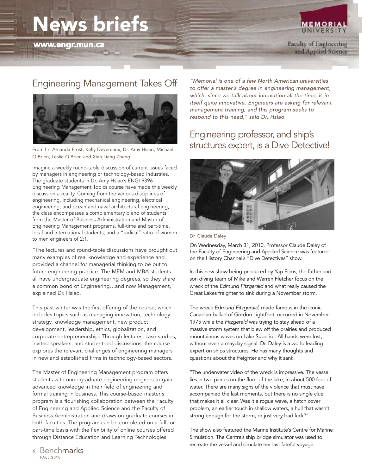## **News briefs**

**MEMORIAL** UNIVERSIT.

#### Engineering Management Takes Off



From l-r: Amanda Frost, Kelly Devereaux, Dr. Amy Hsiao, Michael O'Brien, Leslie O'Brien and Xian Liang Zheng.

Imagine a weekly round-table discussion of current issues faced by managers in engineering or technology-based industries. The graduate students in Dr. Amy Hsiao's ENGI 9396 Engineering Management Topics course have made this weekly discussion a reality. Coming from the various disciplines of engineering, including mechanical engineering, electrical engineering, and ocean and naval architectural engineering, the class encompasses a complementary blend of students from the Master of Business Administration and Master of Engineering Management programs, full-time and part-time, local and international students, and a "radical" ratio of women to men engineers of 2:1.

"The lectures and round-table discussions have brought out many examples of real knowledge and experience and provided a channel for managerial thinking to be put to future engineering practice. The MEM and MBA students all have undergraduate engineering degrees, so they share a common bond of Engineering…and now Management," explained Dr. Hsiao.

This past winter was the first offering of the course, which includes topics such as managing innovation, technology strategy, knowledge management, new product development, leadership, ethics, globalization, and corporate entrepreneurship. Through lectures, case studies, invited speakers, and student-led discussions, the course explores the relevant challenges of engineering managers in new and established firms in technology-based sectors.

The Master of Engineering Management program offers students with undergraduate engineering degrees to gain advanced knowledge in their field of engineering and formal training in business. This course-based master's program is a flourishing collaboration between the Faculty of Engineering and Applied Science and the Faculty of Business Administration and draws on graduate courses in both faculties. The program can be completed on a full- or part-time basis with the flexibility of online courses offered through Distance Education and Learning Technologies.

*"Memorial is one of a few North American universities to offer a master's degree in engineering management, which, since we talk about innovation all the time, is in itself quite innovative. Engineers are asking for relevant management training, and this program seeks to respond to this need," said Dr. Hsiao.*

## Engineering professor, and ship's structures expert, is a Dive Detective!



Dr. Claude Daley

On Wednesday, March 31, 2010, Professor Claude Daley of the Faculty of Engineering and Applied Science was featured on the History Channel's "Dive Detectives" show.

In this new show being produced by Yap Films, the father-andson diving team of Mike and Warren Fletcher focus on the wreck of the *Edmund Fitzgerald* and what really caused the Great Lakes freighter to sink during a November storm.

The wreck *Edmund Fitzgerald*, made famous in the iconic Canadian ballad of Gordon Lightfoot, occurred in November 1975 while the *Fitzgerald* was trying to stay ahead of a massive storm system that blew off the prairies and produced mountainous waves on Lake Superior. All hands were lost, without even a mayday signal. Dr. Daley is a world leading expert on ships structures. He has many thoughts and questions about the freighter and why it sank.

"The underwater video of the wreck is impressive. The vessel lies in two pieces on the floor of the lake, in about 500 feet of water. There are many signs of the violence that must have accompanied the last moments, but there is no single clue that makes it all clear. Was it a rogue wave, a hatch cover problem, an earlier touch in shallow waters, a hull that wasn't strong enough for the storm, or just very bad luck?"

The show also featured the Marine Institute's Centre for Marine Simulation. The Centre's ship bridge simulator was used to recreate the vessel and simulate her last fateful voyage.

FALL 2010 <sup>6</sup> Benchmarks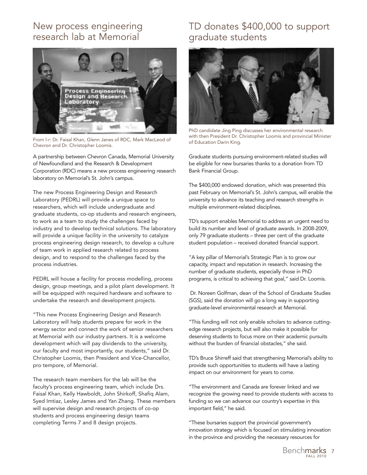## New process engineering research lab at Memorial



From I-r: Dr. Faisal Khan, Glenn Janes of RDC, Mark MacLeod of The Changes of Education Darin King. Chevron and Dr. Christopher Loomis.

A partnership between Chevron Canada, Memorial University of Newfoundland and the Research & Development Corporation (RDC) means a new process engineering research laboratory on Memorial's St. John's campus.

The new Process Engineering Design and Research Laboratory (PEDRL) will provide a unique space to researchers, which will include undergraduate and graduate students, co-op students and research engineers, to work as a team to study the challenges faced by industry and to develop technical solutions. The laboratory will provide a unique facility in the university to catalyze process engineering design research, to develop a culture of team work in applied research related to process design, and to respond to the challenges faced by the process industries.

PEDRL will house a facility for process modelling, process design, group meetings, and a pilot plant development. It will be equipped with required hardware and software to undertake the research and development projects.

"This new Process Engineering Design and Research Laboratory will help students prepare for work in the energy sector and connect the work of senior researchers at Memorial with our industry partners. It is a welcome development which will pay dividends to the university, our faculty and most importantly, our students," said Dr. Christopher Loomis, then President and Vice-Chancellor, pro tempore, of Memorial.

The research team members for the lab will be the faculty's process engineering team, which include Drs. Faisal Khan, Kelly Hawboldt, John Shirkoff, Shafiq Alam, Syed Imtiaz, Lesley James and Yan Zhang. These members will supervise design and research projects of co-op students and process engineering design teams completing Terms 7 and 8 design projects.

## TD donates \$400,000 to support graduate students



PhD candidate Jing Ping discusses her environmental research with then President Dr. Christopher Loomis and provincial Minister

Graduate students pursuing environment-related studies will be eligible for new bursaries thanks to a donation from TD Bank Financial Group.

The \$400,000 endowed donation, which was presented this past February on Memorial's St. John's campus, will enable the university to advance its teaching and research strengths in multiple environment-related disciplines.

TD's support enables Memorial to address an urgent need to build its number and level of graduate awards. In 2008-2009, only 79 graduate students – three per cent of the graduate student population – received donated financial support.

"A key pillar of Memorial's Strategic Plan is to grow our capacity, impact and reputation in research. Increasing the number of graduate students, especially those in PhD programs, is critical to achieving that goal," said Dr. Loomis.

Dr. Noreen Golfman, dean of the School of Graduate Studies (SGS), said the donation will go a long way in supporting graduate-level environmental research at Memorial.

"This funding will not only enable scholars to advance cuttingedge research projects, but will also make it possible for deserving students to focus more on their academic pursuits without the burden of financial obstacles," she said.

TD's Bruce Shirreff said that strengthening Memorial's ability to provide such opportunities to students will have a lasting impact on our environment for years to come.

"The environment and Canada are forever linked and we recognize the growing need to provide students with access to funding so we can advance our country's expertise in this important field," he said.

"These bursaries support the provincial government's innovation strategy which is focused on stimulating innovation in the province and providing the necessary resources for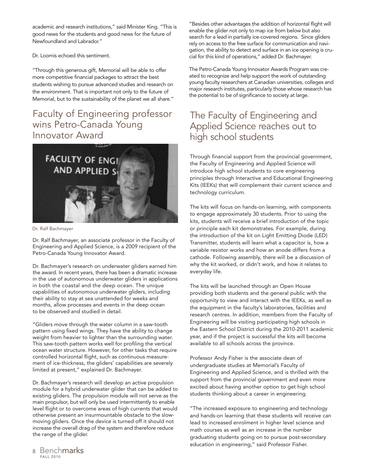academic and research institutions," said Minister King. "This is good news for the students and good news for the future of Newfoundland and Labrador."

Dr. Loomis echoed this sentiment.

"Through this generous gift, Memorial will be able to offer more competitive financial packages to attract the best students wishing to pursue advanced studies and research on the environment. That is important not only to the future of Memorial, but to the sustainability of the planet we all share."

## Faculty of Engineering professor wins Petro-Canada Young Innovator Award



Dr. Ralf Bachmayer

Dr. Ralf Bachmayer, an associate professor in the Faculty of Engineering and Applied Science, is a 2009 recipient of the Petro-Canada Young Innovator Award.

Dr. Bachmayer's research on underwater gliders earned him the award. In recent years, there has been a dramatic increase in the use of autonomous underwater gliders in applications in both the coastal and the deep ocean. The unique capabilities of autonomous underwater gliders, including their ability to stay at sea unattended for weeks and months, allow processes and events in the deep ocean to be observed and studied in detail.

"Gliders move through the water column in a saw-tooth pattern using fixed wings. They have the ability to change weight from heavier to lighter than the surrounding water. This saw-tooth pattern works well for profiling the vertical ocean water structure. However, for other tasks that require controlled horizontal flight, such as continuous measurement of ice-thickness, the gliders' capabilities are severely limited at present," explained Dr. Bachmayer.

Dr. Bachmayer's research will develop an active propulsion module for a hybrid underwater glider that can be added to existing gliders. The propulsion module will not serve as the main propulsor, but will only be used intermittently to enable level flight or to overcome areas of high currents that would otherwise present an insurmountable obstacle to the slowmoving gliders. Once the device is turned off it should not increase the overall drag of the system and therefore reduce the range of the glider.

"Besides other advantages the addition of horizontal flight will enable the glider not only to map ice from below but also search for a lead in partially ice-covered regions. Since gliders rely on access to the free surface for communication and navigation, the ability to detect and surface in an ice opening is crucial for this kind of operations," added Dr. Bachmayer.

The Petro-Canada Young Innovator Awards Program was created to recognize and help support the work of outstanding young faculty researchers at Canadian universities, colleges and major research institutes, particularly those whose research has the potential to be of significance to society at large.

## The Faculty of Engineering and Applied Science reaches out to high school students

Through financial support from the provincial government, the Faculty of Engineering and Applied Science will introduce high school students to core engineering principles through Interactive and Educational Engineering Kits (IEEKs) that will complement their current science and technology curriculum.

The kits will focus on hands-on learning, with components to engage approximately 30 students. Prior to using the kits, students will receive a brief introduction of the topic or principle each kit demonstrates. For example, during the introduction of the kit on Light Emitting Diode (LED) Transmitter, students will learn what a capacitor is, how a variable resistor works and how an anode differs from a cathode. Following assembly, there will be a discussion of why the kit worked, or didn't work, and how it relates to everyday life.

The kits will be launched through an Open House providing both students and the general public with the opportunity to view and interact with the IEEKs, as well as the equipment in the faculty's laboratories, facilities and research centres. In addition, members from the Faculty of Engineering will be visiting participating high schools in the Eastern School District during the 2010-2011 academic year, and if the project is successful the kits will become available to all schools across the province.

Professor Andy Fisher is the associate dean of undergraduate studies at Memorial's Faculty of Engineering and Applied Science, and is thrilled with the support from the provincial government and even more excited about having another option to get high school students thinking about a career in engineering.

"The increased exposure to engineering and technology and hands-on learning that these students will receive can lead to increased enrolment in higher level science and math courses as well as an increase in the number graduating students going on to pursue post-secondary education in engineering," said Professor Fisher.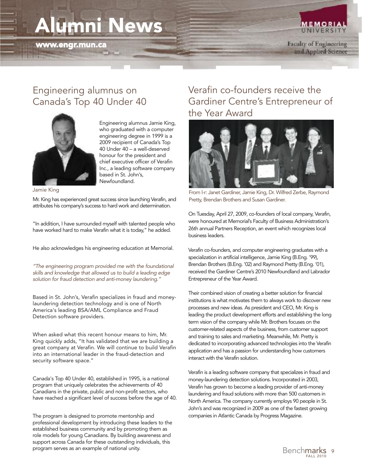# **Alumni News**

**www.engr.mun.ca**

**UNIVERSIT** Faculty of Engineering

and Applied Science

**MEMORIAL** 

#### Engineering alumnus on Canada's Top 40 Under 40



Engineering alumnus Jamie King, who graduated with a computer engineering degree in 1999 is a 2009 recipient of Canada's Top 40 Under 40 – a well-deserved honour for the president and chief executive officer of Verafin Inc., a leading software company based in St. John's, Newfoundland.

Jamie King

Mr. King has experienced great success since launching Verafin, and attributes his company's success to hard work and determination.

"In addition, I have surrounded myself with talented people who have worked hard to make Verafin what it is today," he added.

He also acknowledges his engineering education at Memorial.

*"The engineering program provided me with the foundational skills and knowledge that allowed us to build a leading edge solution for fraud detection and anti-money laundering."*

Based in St. John's, Verafin specializes in fraud and moneylaundering detection technology and is one of North America's leading BSA/AML Compliance and Fraud Detection software providers.

When asked what this recent honour means to him, Mr. King quickly adds, "It has validated that we are building a great company at Verafin. We will continue to build Verafin into an international leader in the fraud-detection and security software space."

Canada's Top 40 Under 40, established in 1995, is a national program that uniquely celebrates the achievements of 40 Canadians in the private, public and non-profit sectors, who have reached a significant level of success before the age of 40.

The program is designed to promote mentorship and professional development by introducing these leaders to the established business community and by promoting them as role models for young Canadians. By building awareness and support across Canada for these outstanding individuals, this program serves as an example of national unity.

## Verafin co-founders receive the Gardiner Centre's Entrepreneur of the Year Award



From l-r: Janet Gardiner, Jamie King, Dr. Wilfred Zerbe, Raymond Pretty, Brendan Brothers and Susan Gardiner.

On Tuesday, April 27, 2009, co-founders of local company, Verafin, were honoured at Memorial's Faculty of Business Administration's 26th annual Partners Reception, an event which recognizes local business leaders.

Verafin co-founders, and computer engineering graduates with a specialization in artificial intelligence, Jamie King (B.Eng. '99), Brendan Brothers (B.Eng. '02) and Raymond Pretty (B.Eng. '01), received the Gardiner Centre's 2010 Newfoundland and Labrador Entrepreneur of the Year Award.

Their combined vision of creating a better solution for financial institutions is what motivates them to always work to discover new processes and new ideas. As president and CEO, Mr. King is leading the product development efforts and establishing the long term vision of the company while Mr. Brothers focuses on the customer-related aspects of the business, from customer support and training to sales and marketing. Meanwhile, Mr. Pretty is dedicated to incorporating advanced technologies into the Verafin application and has a passion for understanding how customers interact with the Verafin solution.

Verafin is a leading software company that specializes in fraud and money-laundering detection solutions. Incorporated in 2003, Verafin has grown to become a leading provider of anti-money laundering and fraud solutions with more than 500 customers in North America. The company currently employs 90 people in St. John's and was recognized in 2009 as one of the fastest growing companies in Atlantic Canada by Progress Magazine.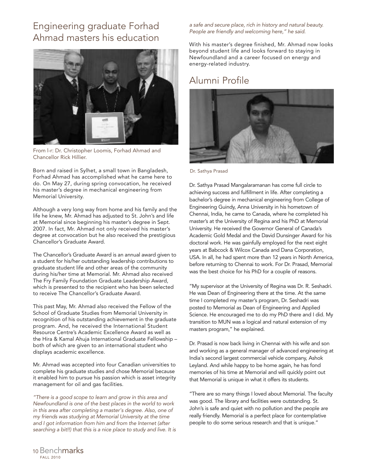## Engineering graduate Forhad Ahmad masters his education



From l-r: Dr. Christopher Loomis, Forhad Ahmad and Chancellor Rick Hillier.

Born and raised in Sylhet, a small town in Bangladesh, Forhad Ahmad has accomplished what he came here to do. On May 27, during spring convocation, he received his master's degree in mechanical engineering from Memorial University.

Although a very long way from home and his family and the life he knew, Mr. Ahmad has adjusted to St. John's and life at Memorial since beginning his master's degree in Sept. 2007. In fact, Mr. Ahmad not only received his master's degree at convocation but he also received the prestigious Chancellor's Graduate Award.

The Chancellor's Graduate Award is an annual award given to a student for his/her outstanding leadership contributions to graduate student life and other areas of the community during his/her time at Memorial. Mr. Ahmad also received The Fry Family Foundation Graduate Leadership Award, which is presented to the recipient who has been selected to receive The Chancellor's Graduate Award.

This past May, Mr. Ahmad also received the Fellow of the School of Graduate Studies from Memorial University in recognition of his outstanding achievement in the graduate program. And, he received the International Student Resource Centre's Academic Excellence Award as well as the Hira & Kamal Ahuja International Graduate Fellowship – both of which are given to an international student who displays academic excellence.

Mr. Ahmad was accepted into four Canadian universities to complete his graduate studies and chose Memorial because it enabled him to pursue his passion which is asset integrity management for oil and gas facilities.

*"There is a good scope to learn and grow in this area and Newfoundland is one of the best places in the world to work in this area after completing a master's degree. Also, one of my friends was studying at Memorial University at the time and I got information from him and from the Internet (after searching a bit!!) that this is a nice place to study and live. It is* *a safe and secure place, rich in history and natural beauty. People are friendly and welcoming here," he said.*

With his master's degree finished, Mr. Ahmad now looks beyond student life and looks forward to staying in Newfoundland and a career focused on energy and energy-related industry.

#### Alumni Profile



Dr. Sathya Prasad

Dr. Sathya Prasad Mangalaramanan has come full circle to achieving success and fulfillment in life. After completing a bachelor's degree in mechanical engineering from College of Engineering Guindy, Anna University in his hometown of Chennai, India, he came to Canada, where he completed his master's at the University of Regina and his PhD at Memorial University. He received the Governor General of Canada's Academic Gold Medal and the David Dunsinger Award for his doctoral work. He was gainfully employed for the next eight years at Babcock & Wilcox Canada and Dana Corporation, USA. In all, he had spent more than 12 years in North America, before returning to Chennai to work. For Dr. Prasad, Memorial was the best choice for his PhD for a couple of reasons.

"My supervisor at the University of Regina was Dr. R. Seshadri. He was Dean of Engineering there at the time. At the same time I completed my master's program, Dr. Seshadri was posted to Memorial as Dean of Engineering and Applied Science. He encouraged me to do my PhD there and I did. My transition to MUN was a logical and natural extension of my masters program," he explained.

Dr. Prasad is now back living in Chennai with his wife and son and working as a general manager of advanced engineering at India's second largest commercial vehicle company, Ashok Leyland. And while happy to be home again, he has fond memories of his time at Memorial and will quickly point out that Memorial is unique in what it offers its students.

"There are so many things I loved about Memorial. The faculty was good. The library and facilities were outstanding. St. John's is safe and quiet with no pollution and the people are really friendly. Memorial is a perfect place for contemplative people to do some serious research and that is unique."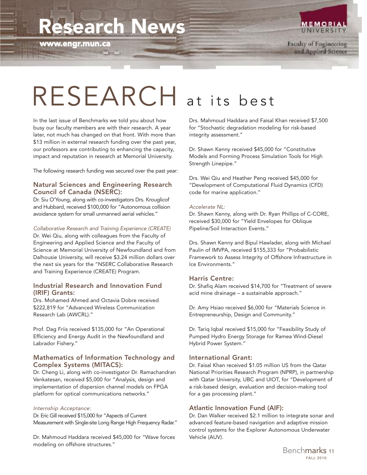# **Research News**

**www.engr.mun.ca**



Faculty of Engineering and Applied Science

# RESEARCH at its best

In the last issue of Benchmarks we told you about how busy our faculty members are with their research. A year later, not much has changed on that front. With more than \$13 million in external research funding over the past year, our professors are contributing to enhancing the capacity, impact and reputation in research at Memorial University.

The following research funding was secured over the past year:

#### **Natural Sciences and Engineering Research Council of Canada (NSERC):**

Dr. Siu O'Young, along with co-investigators Drs. Krouglicof and Hubbard, received \$100,000 for "Autonomous collision avoidance system for small unmanned aerial vehicles."

#### *Collaborative Research and Training Experience (CREATE)*

Dr. Wei Qiu, along with colleagues from the Faculty of Engineering and Applied Science and the Faculty of Science at Memorial University of Newfoundland and from Dalhousie University, will receive \$3.24 million dollars over the next six years for the "NSERC Collaborative Research and Training Experience (CREATE) Program.

#### **Industrial Research and Innovation Fund (IRIF) Grants:**

Drs. Mohamed Ahmed and Octavia Dobre received \$222,819 for "Advanced Wireless Communication Research Lab (AWCRL)."

Prof. Dag Friis received \$135,000 for "An Operational Efficiency and Energy Audit in the Newfoundland and Labrador Fishery."

#### **Mathematics of Information Technology and Complex Systems (MITACS):**

Dr. Cheng Li, along with co-investigator Dr. Ramachandran Venkatesan, received \$5,000 for "Analysis, design and implementation of dispersion channel models on FPGA platform for optical communications networks."

#### *Internship Acceptance:*

Dr. Eric Gill received \$15,000 for "Aspects of Current Measurement with Single-site Long Range High Frequency Radar."

Dr. Mahmoud Haddara received \$45,000 for "Wave forces modeling on offshore structures."

Drs. Mahmoud Haddara and Faisal Khan received \$7,500 for "Stochastic degradation modeling for risk-based integrity assessment."

Dr. Shawn Kenny received \$45,000 for "Constitutive Models and Forming Process Simulation Tools for High Strength Linepipe."

Drs. Wei Qiu and Heather Peng received \$45,000 for "Development of Computational Fluid Dynamics (CFD) code for marine application."

#### *Accelerate NL:*

Dr. Shawn Kenny, along with Dr. Ryan Phillips of C-CORE, received \$30,000 for "Yield Envelopes for Oblique Pipeline/Soil Interaction Events."

Drs. Shawn Kenny and Bipul Hawlader, along with Michael Paulin of IMVPA, received \$155,333 for "Probabilistic Framework to Assess Integrity of Offshore Infrastructure in Ice Environments."

#### **Harris Centre:**

Dr. Shafiq Alam received \$14,700 for "Treatment of severe acid mine drainage – a sustainable approach."

Dr. Amy Hsiao received \$6,000 for "Materials Science in Entrepreneurship, Design and Community."

Dr. Tariq Iqbal received \$15,000 for "Feasibility Study of Pumped Hydro Energy Storage for Ramea Wind-Diesel Hybrid Power System."

#### **International Grant:**

Dr. Faisal Khan received \$1.05 million US from the Qatar National Priorities Research Program (NPRP), in partnership with Qatar University, UBC and UIOT, for "Development of a risk-based design, evaluation and decision-making tool for a gas processing plant."

#### **Atlantic Innovation Fund (AIF):**

Dr. Dan Walker received \$2.1 million to integrate sonar and advanced feature-based navigation and adaptive mission control systems for the Explorer Autonomous Underwater Vehicle (AUV).

> FALL 2010 Benchmarks <sup>11</sup>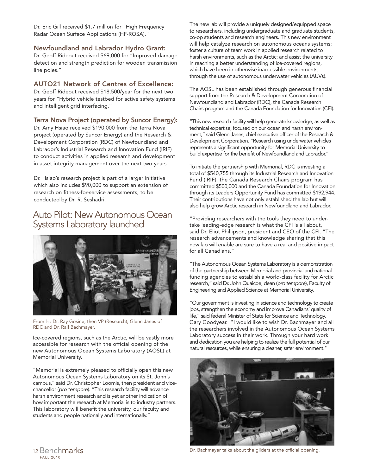Dr. Eric Gill received \$1.7 million for "High Frequency Radar Ocean Surface Applications (HF-ROSA)."

#### **Newfoundland and Labrador Hydro Grant:**

Dr. Geoff Rideout received \$69,000 for "Improved damage detection and strength prediction for wooden transmission line poles."

#### **AUTO21 Network of Centres of Excellence:**

Dr. Geoff Rideout received \$18,500/year for the next two years for "Hybrid vehicle testbed for active safety systems and intelligent grid interfacing."

#### **Terra Nova Project (operated by Suncor Energy):**

Dr. Amy Hsiao received \$190,000 from the Terra Nova project (operated by Suncor Energy) and the Research & Development Corporation (RDC) of Newfoundland and Labrador's Industrial Research and Innovation Fund (IRIF) to conduct activities in applied research and development in asset integrity management over the next two years.

Dr. Hsiao's research project is part of a larger initiative which also includes \$90,000 to support an extension of research on fitness-for-service assessments, to be conducted by Dr. R. Seshadri.

#### Auto Pilot: New Autonomous Ocean Systems Laboratory launched



From l-r: Dr. Ray Gosine, then VP (Research); Glenn Janes of RDC and Dr. Ralf Bachmayer.

Ice-covered regions, such as the Arctic, will be vastly more accessible for research with the official opening of the new Autonomous Ocean Systems Laboratory (AOSL) at Memorial University.

"Memorial is extremely pleased to officially open this new Autonomous Ocean Systems Laboratory on its St. John's campus," said Dr. Christopher Loomis, then president and vicechancellor (*pro tempore*). "This research facility will advance harsh environment research and is yet another indication of how important the research at Memorial is to industry partners. This laboratory will benefit the university, our faculty and students and people nationally and internationally."

The new lab will provide a uniquely designed/equipped space to researchers, including undergraduate and graduate students, co-op students and research engineers. This new environment will help catalyze research on autonomous oceans systems; foster a culture of team work in applied research related to harsh environments, such as the Arctic; and assist the university in reaching a better understanding of ice-covered regions, which have been in otherwise inaccessible environments, through the use of autonomous underwater vehicles (AUVs).

The AOSL has been established through generous financial support from the Research & Development Corporation of Newfoundland and Labrador (RDC), the Canada Research Chairs program and the Canada Foundation for Innovation (CFI).

"This new research facility will help generate knowledge, as well as technical expertise, focused on our ocean and harsh environment," said Glenn Janes, chief executive officer of the Research & Development Corporation. "Research using underwater vehicles represents a significant opportunity for Memorial University to build expertise for the benefit of Newfoundland and Labrador."

To initiate the partnership with Memorial, RDC is investing a total of \$540,755 through its Industrial Research and Innovation Fund (IRIF), the Canada Research Chairs program has committed \$500,000 and the Canada Foundation for Innovation through its Leaders Opportunity Fund has committed \$192,944. Their contributions have not only established the lab but will also help grow Arctic research in Newfoundland and Labrador.

"Providing researchers with the tools they need to undertake leading-edge research is what the CFI is all about," said Dr. Eliot Phillipson, president and CEO of the CFI. "The research advancements and knowledge sharing that this new lab will enable are sure to have a real and positive impact for all Canadians."

"The Autonomous Ocean Systems Laboratory is a demonstration of the partnership between Memorial and provincial and national funding agencies to establish a world-class facility for Arctic research," said Dr. John Quaicoe, dean (*pro tempore*), Faculty of Engineering and Applied Science at Memorial University.

"Our government is investing in science and technology to create jobs, strengthen the economy and improve Canadians' quality of life," said federal Minister of State for Science and Technology, Gary Goodyear. "I would like to wish Dr. Bachmayer and all the researchers involved in the Autonomous Ocean Systems Laboratory success in their work. Through your hard work and dedication you are helping to realize the full potential of our natural resources, while ensuring a cleaner, safer environment."



Dr. Bachmayer talks about the gliders at the official opening.

FALL 2010 <sup>12</sup> Benchmarks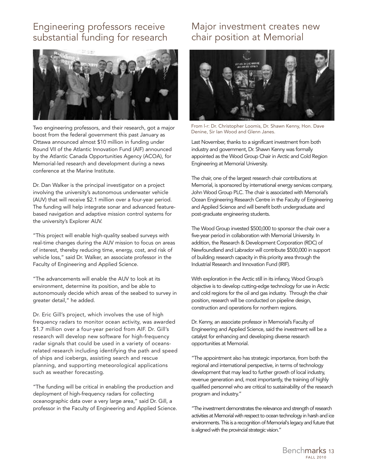#### Engineering professors receive substantial funding for research



Two engineering professors, and their research, got a major boost from the federal government this past January as Ottawa announced almost \$10 million in funding under Round VII of the Atlantic Innovation Fund (AIF) announced by the Atlantic Canada Opportunities Agency (ACOA), for Memorial-led research and development during a news conference at the Marine Institute.

Dr. Dan Walker is the principal investigator on a project involving the university's autonomous underwater vehicle (AUV) that will receive \$2.1 million over a four-year period. The funding will help integrate sonar and advanced featurebased navigation and adaptive mission control systems for the university's Explorer AUV.

"This project will enable high-quality seabed surveys with real-time changes during the AUV mission to focus on areas of interest, thereby reducing time, energy, cost, and risk of vehicle loss," said Dr. Walker, an associate professor in the Faculty of Engineering and Applied Science.

"The advancements will enable the AUV to look at its environment, determine its position, and be able to autonomously decide which areas of the seabed to survey in greater detail," he added.

Dr. Eric Gill's project, which involves the use of high frequency radars to monitor ocean activity, was awarded \$1.7 million over a four-year period from AIF. Dr. Gill's research will develop new software for high-frequency radar signals that could be used in a variety of oceansrelated research including identifying the path and speed of ships and icebergs, assisting search and rescue planning, and supporting meteorological applications such as weather forecasting.

"The funding will be critical in enabling the production and deployment of high-frequency radars for collecting oceanographic data over a very large area," said Dr. Gill, a professor in the Faculty of Engineering and Applied Science.

## Major investment creates new chair position at Memorial



From l-r: Dr. Christopher Loomis, Dr. Shawn Kenny, Hon. Dave Denine, Sir Ian Wood and Glenn Janes.

Last November, thanks to a significant investment from both industry and government, Dr. Shawn Kenny was formally appointed as the Wood Group Chair in Arctic and Cold Region Engineering at Memorial University.

The chair, one of the largest research chair contributions at Memorial, is sponsored by international energy services company, John Wood Group PLC. The chair is associated with Memorial's Ocean Engineering Research Centre in the Faculty of Engineering and Applied Science and will benefit both undergraduate and post-graduate engineering students.

The Wood Group invested \$500,000 to sponsor the chair over a five-year period in collaboration with Memorial University. In addition, the Research & Development Corporation (RDC) of Newfoundland and Labrador will contribute \$500,000 in support of building research capacity in this priority area through the Industrial Research and Innovation Fund (IRIF).

With exploration in the Arctic still in its infancy, Wood Group's objective is to develop cutting-edge technology for use in Arctic and cold regions for the oil and gas industry. Through the chair position, research will be conducted on pipeline design, construction and operations for northern regions.

Dr. Kenny, an associate professor in Memorial's Faculty of Engineering and Applied Science, said the investment will be a catalyst for enhancing and developing diverse research opportunities at Memorial.

"The appointment also has strategic importance, from both the regional and international perspective, in terms of technology development that may lead to further growth of local industry, revenue generation and, most importantly, the training of highly qualified personnel who are critical to sustainability of the research program and industry."

"The investment demonstrates the relevance and strength of research activities at Memorial with respect to ocean technology in harsh and ice environments. This is a recognition of Memorial's legacy and future that is aligned with the provincial strategic vision."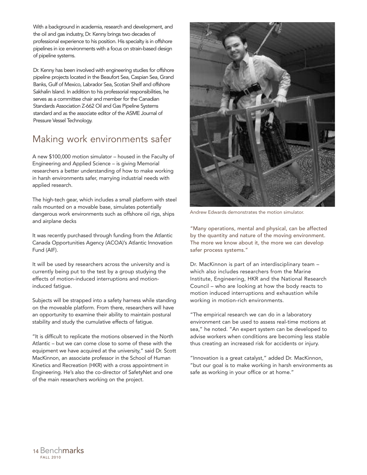With a background in academia, research and development, and the oil and gas industry, Dr. Kenny brings two decades of professional experience to his position. His specialty is in offshore pipelines in ice environments with a focus on strain-based design of pipeline systems.

Dr. Kenny has been involved with engineering studies for offshore pipeline projects located in the Beaufort Sea, Caspian Sea, Grand Banks, Gulf of Mexico, Labrador Sea, Scotian Shelf and offshore Sakhalin Island. In addition to his professorial responsibilities, he serves as a committee chair and member for the Canadian Standards Association Z-662 Oil and Gas Pipeline Systems standard and as the associate editor of the ASME Journal of Pressure Vessel Technology.

## Making work environments safer

A new \$100,000 motion simulator – housed in the Faculty of Engineering and Applied Science – is giving Memorial researchers a better understanding of how to make working in harsh environments safer, marrying industrial needs with applied research.

The high-tech gear, which includes a small platform with steel rails mounted on a movable base, simulates potentially dangerous work environments such as offshore oil rigs, ships and airplane decks

It was recently purchased through funding from the Atlantic Canada Opportunities Agency (ACOA)'s Atlantic Innovation Fund (AIF).

It will be used by researchers across the university and is currently being put to the test by a group studying the effects of motion-induced interruptions and motioninduced fatigue.

Subjects will be strapped into a safety harness while standing on the moveable platform. From there, researchers will have an opportunity to examine their ability to maintain postural stability and study the cumulative effects of fatigue.

"It is difficult to replicate the motions observed in the North Atlantic – but we can come close to some of these with the equipment we have acquired at the university," said Dr. Scott MacKinnon, an associate professor in the School of Human Kinetics and Recreation (HKR) with a cross appointment in Engineering. He's also the co-director of SafetyNet and one of the main researchers working on the project.



Andrew Edwards demonstrates the motion simulator.

"Many operations, mental and physical, can be affected by the quantity and nature of the moving environment. The more we know about it, the more we can develop safer process systems."

Dr. MacKinnon is part of an interdisciplinary team – which also includes researchers from the Marine Institute, Engineering, HKR and the National Research Council – who are looking at how the body reacts to motion induced interruptions and exhaustion while working in motion-rich environments.

"The empirical research we can do in a laboratory environment can be used to assess real-time motions at sea," he noted. "An expert system can be developed to advise workers when conditions are becoming less stable thus creating an increased risk for accidents or injury.

"Innovation is a great catalyst," added Dr. MacKinnon, "but our goal is to make working in harsh environments as safe as working in your office or at home."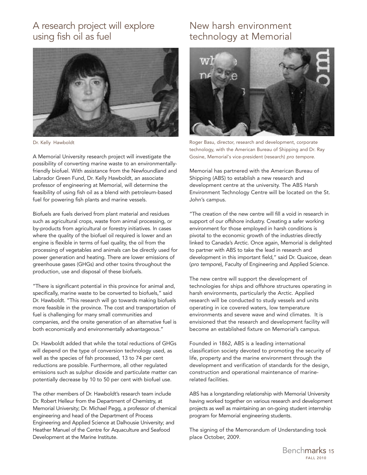## A research project will explore using fish oil as fuel



Dr. Kelly Hawboldt

A Memorial University research project will investigate the possibility of converting marine waste to an environmentallyfriendly biofuel. With assistance from the Newfoundland and Labrador Green Fund, Dr. Kelly Hawboldt, an associate professor of engineering at Memorial, will determine the feasibility of using fish oil as a blend with petroleum-based fuel for powering fish plants and marine vessels.

Biofuels are fuels derived from plant material and residues such as agricultural crops, waste from animal processing, or by-products from agricultural or forestry initiatives. In cases where the quality of the biofuel oil required is lower and an engine is flexible in terms of fuel quality, the oil from the processing of vegetables and animals can be directly used for power generation and heating. There are lower emissions of greenhouse gases (GHGs) and other toxins throughout the production, use and disposal of these biofuels.

"There is significant potential in this province for animal and, specifically, marine waste to be converted to biofuels," said Dr. Hawboldt. "This research will go towards making biofuels more feasible in the province. The cost and transportation of fuel is challenging for many small communities and companies, and the onsite generation of an alternative fuel is both economically and environmentally advantageous."

Dr. Hawboldt added that while the total reductions of GHGs will depend on the type of conversion technology used, as well as the species of fish processed, 13 to 74 per cent reductions are possible. Furthermore, all other regulated emissions such as sulphur dioxide and particulate matter can potentially decrease by 10 to 50 per cent with biofuel use.

The other members of Dr. Hawboldt's research team include Dr. Robert Helleur from the Department of Chemistry, at Memorial University; Dr. Michael Pegg, a professor of chemical engineering and head of the Department of Process Engineering and Applied Science at Dalhousie University; and Heather Manuel of the Centre for Aquaculture and Seafood Development at the Marine Institute.

## New harsh environment technology at Memorial



Roger Basu, director, research and development, corporate technology, with the American Bureau of Shipping and Dr. Ray Gosine, Memorial's vice-president (research) *pro tempore*.

Memorial has partnered with the American Bureau of Shipping (ABS) to establish a new research and development centre at the university. The ABS Harsh Environment Technology Centre will be located on the St. John's campus.

"The creation of the new centre will fill a void in research in support of our offshore industry. Creating a safer working environment for those employed in harsh conditions is pivotal to the economic growth of the industries directly linked to Canada's Arctic. Once again, Memorial is delighted to partner with ABS to take the lead in research and development in this important field," said Dr. Quaicoe, dean (*pro tempore*), Faculty of Engineering and Applied Science.

The new centre will support the development of technologies for ships and offshore structures operating in harsh environments, particularly the Arctic. Applied research will be conducted to study vessels and units operating in ice covered waters, low temperature environments and severe wave and wind climates. It is envisioned that the research and development facility will become an established fixture on Memorial's campus.

Founded in 1862, ABS is a leading international classification society devoted to promoting the security of life, property and the marine environment through the development and verification of standards for the design, construction and operational maintenance of marinerelated facilities.

ABS has a longstanding relationship with Memorial University having worked together on various research and development projects as well as maintaining an on-going student internship program for Memorial engineering students.

The signing of the Memorandum of Understanding took place October, 2009.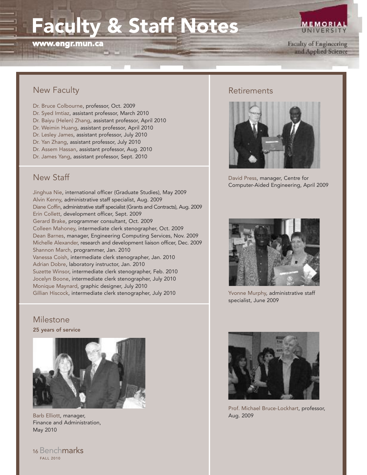# **Faculty & Staff Notes**

**www.engr.mun.ca**

**MEMORIA UNIVERSIT** 

Faculty of Engineering and Applied Science

#### New Faculty

- Dr. Bruce Colbourne, professor, Oct. 2009 Dr. Syed Imtiaz, assistant professor, March 2010 Dr. Baiyu (Helen) Zhang, assistant professor, April 2010 Dr. Weimin Huang, assistant professor, April 2010 Dr. Lesley James, assistant professor, July 2010
- Dr. Yan Zhang, assistant professor, July 2010
- Dr. Assem Hassan, assistant professor, Aug. 2010
- Dr. James Yang, assistant professor, Sept. 2010

#### New Staff

Jinghua Nie, international officer (Graduate Studies), May 2009 Alvin Kenny, administrative staff specialist, Aug. 2009 Diane Coffin, administrative staff specialist (Grants and Contracts), Aug. 2009 Erin Collett, development officer, Sept. 2009 Gerard Brake, programmer consultant, Oct. 2009 Colleen Mahoney, intermediate clerk stenographer, Oct. 2009 Dean Barnes, manager, Engineering Computing Services, Nov. 2009 Michelle Alexander, research and development liaison officer, Dec. 2009 Shannon March, programmer, Jan. 2010 Vanessa Coish, intermediate clerk stenographer, Jan. 2010 Adrian Dobre, laboratory instructor, Jan. 2010 Suzette Winsor, intermediate clerk stenographer, Feb. 2010 Jocelyn Boone, intermediate clerk stenographer, July 2010 Monique Maynard, graphic designer, July 2010 Gillian Hiscock, intermediate clerk stenographer, July 2010

#### Milestone

**25 years of service**



Barb Elliott, manager, Finance and Administration, May 2010



#### **Retirements**



David Press, manager, Centre for Computer-Aided Engineering, April 2009



Yvonne Murphy, administrative staff specialist, June 2009



Prof. Michael Bruce-Lockhart, professor, Aug. 2009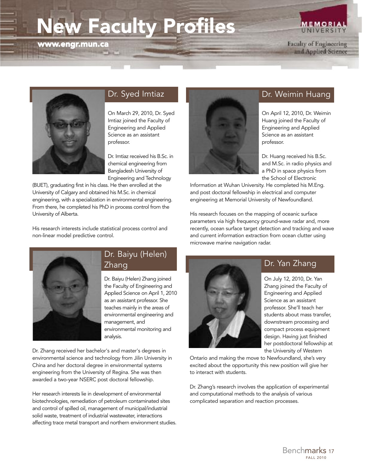# **New Faculty Profiles**

**www.engr.mun.ca**

Faculty of Engineering and Applied Science

**MEMORIAL** UNIVERSIT



#### Dr. Syed Imtiaz

On March 29, 2010, Dr. Syed Imtiaz joined the Faculty of Engineering and Applied Science as an assistant professor.

Dr. Imtiaz received his B.Sc. in chemical engineering from Bangladesh University of Engineering and Technology

(BUET), graduating first in his class. He then enrolled at the University of Calgary and obtained his M.Sc. in chemical engineering, with a specialization in environmental engineering. From there, he completed his PhD in process control from the University of Alberta.

His research interests include statistical process control and non-linear model predictive control.



#### Dr. Weimin Huang

On April 12, 2010, Dr. Weimin Huang joined the Faculty of Engineering and Applied Science as an assistant professor.

Dr. Huang received his B.Sc. and M.Sc. in radio physics and a PhD in space physics from the School of Electronic

Information at Wuhan University. He completed his M.Eng. and post doctoral fellowship in electrical and computer engineering at Memorial University of Newfoundland.

His research focuses on the mapping of oceanic surface parameters via high frequency ground-wave radar and, more recently, ocean surface target detection and tracking and wave and current information extraction from ocean clutter using microwave marine navigation radar.



#### Dr. Baiyu (Helen) Zhang

Dr. Baiyu (Helen) Zhang joined the Faculty of Engineering and Applied Science on April 1, 2010 as an assistant professor. She teaches mainly in the areas of environmental engineering and management, and environmental monitoring and analysis.

Dr. Zhang received her bachelor's and master's degrees in environmental science and technology from Jilin University in China and her doctoral degree in environmental systems engineering from the University of Regina. She was then awarded a two-year NSERC post doctoral fellowship.

Her research interests lie in development of environmental biotechnologies, remediation of petroleum contaminated sites and control of spilled oil, management of municipal/industrial solid waste, treatment of industrial wastewater, interactions affecting trace metal transport and northern environment studies.



#### Dr. Yan Zhang

On July 12, 2010, Dr. Yan Zhang joined the Faculty of Engineering and Applied Science as an assistant professor. She'll teach her students about mass transfer, downstream processing and compact process equipment design. Having just finished her postdoctoral fellowship at the University of Western

Ontario and making the move to Newfoundland, she's very excited about the opportunity this new position will give her to interact with students.

Dr. Zhang's research involves the application of experimental and computational methods to the analysis of various complicated separation and reaction processes.

> FALL 2010 Benchmarks <sup>17</sup>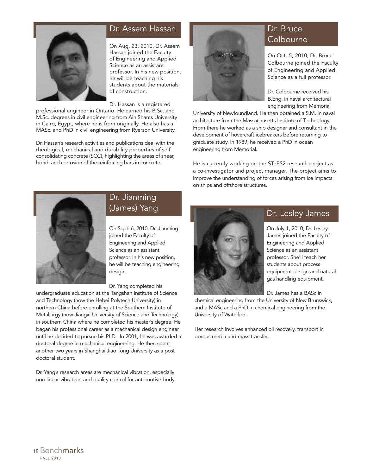

#### Dr. Assem Hassan

On Aug. 23, 2010, Dr. Assem Hassan joined the Faculty of Engineering and Applied Science as an assistant professor. In his new position, he will be teaching his students about the materials of construction.

Dr. Hassan is a registered

professional engineer in Ontario. He earned his B.Sc. and M.Sc. degrees in civil engineering from Ain Shams University in Cairo, Egypt, where he is from originally. He also has a MASc. and PhD in civil engineering from Ryerson University.

Dr. Hassan's research activities and publications deal with the rheological, mechanical and durability properties of self consolidating concrete (SCC), highlighting the areas of shear, bond, and corrosion of the reinforcing bars in concrete.



## Dr. Bruce **Colbourne**

On Oct. 5, 2010, Dr. Bruce Colbourne joined the Faculty of Engineering and Applied Science as a full professor.

Dr. Colbourne received his B.Eng. in naval architectural engineering from Memorial

University of Newfoundland. He then obtained a S.M. in naval architecture from the Massachusetts Institute of Technology. From there he worked as a ship designer and consultant in the development of hovercraft icebreakers before returning to graduate study. In 1989, he received a PhD in ocean engineering from Memorial.

He is currently working on the STePS2 research project as a co-investigator and project manager. The project aims to improve the understanding of forces arising from ice impacts on ships and offshore structures.



#### Dr. Jianming (James) Yang

On Sept. 6, 2010, Dr. Jianming joined the Faculty of Engineering and Applied Science as an assistant professor. In his new position, he will be teaching engineering design.

Dr. Yang completed his

undergraduate education at the Tangshan Institute of Science and Technology (now the Hebei Polytech University) in northern China before enrolling at the Southern Institute of Metallurgy (now Jiangxi University of Science and Technology) in southern China where he completed his master's degree. He began his professional career as a mechanical design engineer until he decided to pursue his PhD. In 2001, he was awarded a doctoral degree in mechanical engineering. He then spent another two years in Shanghai Jiao Tong University as a post doctoral student.

Dr. Yang's research areas are mechanical vibration, especially non-linear vibration; and quality control for automotive body.



#### Dr. Lesley James

On July 1, 2010, Dr. Lesley James joined the Faculty of Engineering and Applied Science as an assistant professor. She'll teach her students about process equipment design and natural gas handling equipment.

Dr. James has a BASc in

chemical engineering from the University of New Brunswick, and a MASc and a PhD in chemical engineering from the University of Waterloo.

Her research involves enhanced oil recovery, transport in porous media and mass transfer.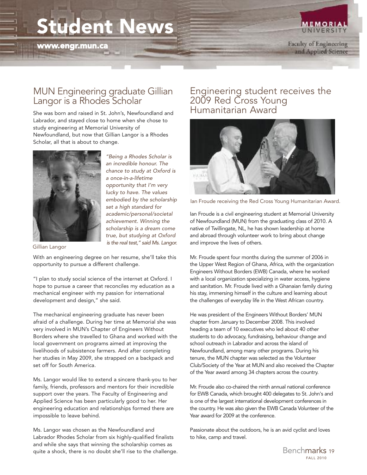# **Student News**

**www.engr.mun.ca**



**MEMORIAL** UNIVERSIT

#### MUN Engineering graduate Gillian Langor is a Rhodes Scholar

She was born and raised in St. John's, Newfoundland and Labrador, and stayed close to home when she chose to study engineering at Memorial University of Newfoundland, but now that Gillian Langor is a Rhodes Scholar, all that is about to change.



*"Being a Rhodes Scholar is an incredible honour. The chance to study at Oxford is a once-in-a-lifetime opportunity that I'm very lucky to have. The values embodied by the scholarship set a high standard for academic/personal/societal achievement. Winning the scholarship is a dream come true, but studying at Oxford is the real test," said Ms. Langor.*

Gillian Langor

With an engineering degree on her resume, she'll take this opportunity to pursue a different challenge.

"I plan to study social science of the internet at Oxford. I hope to pursue a career that reconciles my education as a mechanical engineer with my passion for international development and design," she said.

The mechanical engineering graduate has never been afraid of a challenge. During her time at Memorial she was very involved in MUN's Chapter of Engineers Without Borders where she travelled to Ghana and worked with the local government on programs aimed at improving the livelihoods of subsistence farmers. And after completing her studies in May 2009, she strapped on a backpack and set off for South America.

Ms. Langor would like to extend a sincere thank-you to her family, friends, professors and mentors for their incredible support over the years. The Faculty of Engineering and Applied Science has been particularly good to her. Her engineering education and relationships formed there are impossible to leave behind.

Ms. Langor was chosen as the Newfoundland and Labrador Rhodes Scholar from six highly-qualified finalists and while she says that winning the scholarship comes as quite a shock, there is no doubt she'll rise to the challenge.

#### Engineering student receives the 2009 Red Cross Young Humanitarian Award



Ian Froude receiving the Red Cross Young Humanitarian Award.

Ian Froude is a civil engineering student at Memorial University of Newfoundland (MUN) from the graduating class of 2010. A native of Twillingate, NL, he has shown leadership at home and abroad through volunteer work to bring about change and improve the lives of others.

Mr. Froude spent four months during the summer of 2006 in the Upper West Region of Ghana, Africa, with the organization Engineers Without Borders (EWB) Canada, where he worked with a local organization specializing in water access, hygiene and sanitation. Mr. Froude lived with a Ghanaian family during his stay, immersing himself in the culture and learning about the challenges of everyday life in the West African country.

He was president of the Engineers Without Borders' MUN chapter from January to December 2008. This involved heading a team of 10 executives who led about 40 other students to do advocacy, fundraising, behaviour change and school outreach in Labrador and across the island of Newfoundland, among many other programs. During his tenure, the MUN chapter was selected as the Volunteer Club/Society of the Year at MUN and also received the Chapter of the Year award among 34 chapters across the country.

Mr. Froude also co-chaired the ninth annual national conference for EWB Canada, which brought 400 delegates to St. John's and is one of the largest international development conferences in the country. He was also given the EWB Canada Volunteer of the Year award for 2009 at the conference.

Passionate about the outdoors, he is an avid cyclist and loves to hike, camp and travel.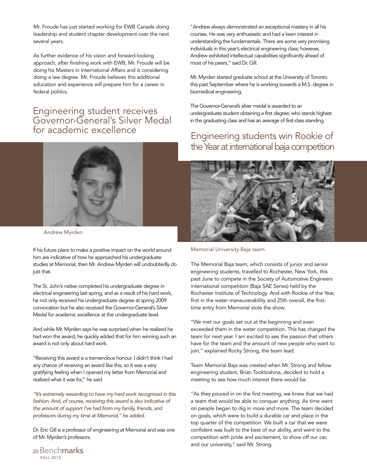Mr. Froude has just started working for EWB Canada doing leadership and student chapter development over the next several years.

As further evidence of his vision and forward-looking approach, after finishing work with EWB, Mr. Froude will be doing his Masters in International Affairs and is considering doing a law degree. Mr. Froude believes this additional education and experience will prepare him for a career in federal politics.

#### Engineering student receives Governor-General's Silver Medal for academic excellence



Andrew Myrden

If his future plans to make a positive impact on the world around him are indicative of how he approached his undergraduate studies at Memorial, then Mr. Andrew Myrden will undoubtedly do just that.

The St. John's native completed his undergraduate degree in electrical engineering last spring, and as a result of his hard work, he not only received his undergraduate degree at spring 2009 convocation but he also received the Governor-General's Silver Medal for academic excellence at the undergraduate level.

And while Mr. Myrden says he was surprised when he realized he had won the award, he quickly added that for him winning such an award is not only about hard work.

"Receiving this award is a tremendous honour. I didn't think I had any chance of receiving an award like this, so it was a very gratifying feeling when I opened my letter from Memorial and realized what it was for," he said.

*"It's extremely rewarding to have my hard work recognized in this fashion. And, of course, receiving this award is also indicative of the amount of support I've had from my family, friends, and professors during my time at Memorial," he added.*

Dr. Eric Gill is a professor of engineering at Memorial and was one of Mr. Myrden's professors.

"Andrew always demonstrated an exceptional mastery in all his courses. He was very enthusiastic and had a keen interest in understanding the fundamentals. There are some very promising individuals in this year's electrical engineering class; however, Andrew exhibited intellectual capabilities significantly ahead of most of his peers," said Dr. Gill.

Mr. Myrden started graduate school at the University of Toronto this past September where he is working towards a M.S. degree in biomedical engineering.

The Governor-General's silver medal is awarded to an undergraduate student obtaining a first degree, who stands highest in the graduating class and has an average of first-class standing.

## Engineering students win Rookie of the Year at international baja competition



Memorial University Baja team.

The Memorial Baja team, which consists of junior and senior engineering students, travelled to Rochester, New York, this past June to compete in the Society of Automotive Engineers international competition (Baja SAE Series) held by the Rochester Institute of Technology. And with Rookie of the Year, first in the water maneuverability and 25th overall, the firsttime entry from Memorial stole the show.

"We met our goals set out at the beginning and even exceeded them in the water competition. This has charged the team for next year. I am excited to see the passion that others have for the team and the amount of new people who want to join," explained Rocky Strong, the team lead.

Team Memorial Baja was created when Mr. Strong and fellow engineering student, Brian Tooktoshina, decided to hold a meeting to see how much interest there would be.

"As they poured in on the first meeting, we knew that we had a team that would be able to conquer anything. As time went on people began to dig in more and more. The team decided on goals, which were to build a durable car and place in the top quarter of the competition. We built a car that we were confident was built to the best of our ability, and went to the competition with pride and excitement, to show off our car, and our university," said Mr. Strong.

FALL 2010 20Benchmarks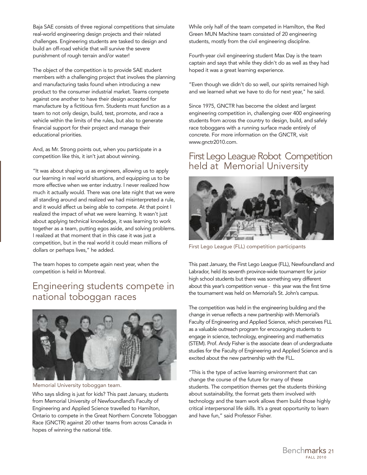Baja SAE consists of three regional competitions that simulate real-world engineering design projects and their related challenges. Engineering students are tasked to design and build an off-road vehicle that will survive the severe punishment of rough terrain and/or water!

The object of the competition is to provide SAE student members with a challenging project that involves the planning and manufacturing tasks found when introducing a new product to the consumer industrial market. Teams compete against one another to have their design accepted for manufacture by a fictitious firm. Students must function as a team to not only design, build, test, promote, and race a vehicle within the limits of the rules, but also to generate financial support for their project and manage their educational priorities.

And, as Mr. Strong points out, when you participate in a competition like this, it isn't just about winning.

"It was about shaping us as engineers, allowing us to apply our learning in real world situations, and equipping us to be more effective when we enter industry. I never realized how much it actually would. There was one late night that we were all standing around and realized we had misinterpreted a rule, and it would affect us being able to compete. At that point I realized the impact of what we were learning. It wasn't just about applying technical knowledge, it was learning to work together as a team, putting egos aside, and solving problems. I realized at that moment that in this case it was just a competition, but in the real world it could mean millions of dollars or perhaps lives," he added.

The team hopes to compete again next year, when the competition is held in Montreal.

## Engineering students compete in national toboggan races



Memorial University toboggan team.

Who says sliding is just for kids? This past January, students from Memorial University of Newfoundland's Faculty of Engineering and Applied Science travelled to Hamilton, Ontario to compete in the Great Northern Concrete Toboggan Race (GNCTR) against 20 other teams from across Canada in hopes of winning the national title.

While only half of the team competed in Hamilton, the Red Green MUN Machine team consisted of 20 engineering students, mostly from the civil engineering discipline.

Fourth-year civil engineering student Max Day is the team captain and says that while they didn't do as well as they had hoped it was a great learning experience.

"Even though we didn't do so well, our spirits remained high and we learned what we have to do for next year," he said.

Since 1975, GNCTR has become the oldest and largest engineering competition in, challenging over 400 engineering students from across the country to design, build, and safely race toboggans with a running surface made entirely of concrete. For more information on the GNCTR, visit www.gnctr2010.com.

#### First Lego League Robot Competition held at Memorial University



First Lego League (FLL) competition participants

This past January, the First Lego League (FLL), Newfoundland and Labrador, held its seventh province-wide tournament for junior high school students but there was something very different about this year's competition venue - this year was the first time the tournament was held on Memorial's St. John's campus.

The competition was held in the engineering building and the change in venue reflects a new partnership with Memorial's Faculty of Engineering and Applied Science, which perceives FLL as a valuable outreach program for encouraging students to engage in science, technology, engineering and mathematics (STEM). Prof. Andy Fisher is the associate dean of undergraduate studies for the Faculty of Engineering and Applied Science and is excited about the new partnership with the FLL.

"This is the type of active learning environment that can change the course of the future for many of these students. The competition themes get the students thinking about sustainability, the format gets them involved with technology and the team work allows them build those highly critical interpersonal life skills. It's a great opportunity to learn and have fun," said Professor Fisher.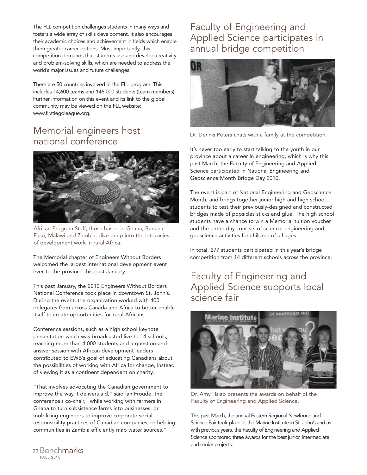The FLL competition challenges students in many ways and fosters a wide array of skills development. It also encourages their academic choices and achievement in fields which enable them greater career options. Most importantly, this competition demands that students use and develop creativity and problem-solving skills, which are needed to address the world's major issues and future challenges

There are 50 countries involved in the FLL program. This includes 14,600 teams and 146,000 students (team members). Further information on this event and its link to the global community may be viewed on the FLL website: www.firstlegoleague.org.

## Memorial engineers host national conference

![](_page_22_Picture_3.jpeg)

African Program Staff, those based in Ghana, Burkina Faso, Malawi and Zambia, dive deep into the intricacies of development work in rural Africa.

The Memorial chapter of Engineers Without Borders welcomed the largest international development event ever to the province this past January.

This past January, the 2010 Engineers Without Borders National Conference took place in downtown St. John's. During the event, the organization worked with 400 delegates from across Canada and Africa to better enable itself to create opportunities for rural Africans.

Conference sessions, such as a high school keynote presentation which was broadcasted live to 14 schools, reaching more than 4,000 students and a question-andanswer session with African development leaders contributed to EWB's goal of educating Canadians about the possibilities of working with Africa for change, instead of viewing it as a continent dependent on charity.

"That involves advocating the Canadian government to improve the way it delivers aid," said Ian Froude, the conference's co-chair, "while working with farmers in Ghana to turn subsistence farms into businesses, or mobilizing engineers to improve corporate social responsibility practices of Canadian companies, or helping communities in Zambia efficiently map water sources."

## Faculty of Engineering and Applied Science participates in annual bridge competition

![](_page_22_Picture_10.jpeg)

Dr. Dennis Peters chats with a family at the competition.

It's never too early to start talking to the youth in our province about a career in engineering, which is why this past March, the Faculty of Engineering and Applied Science participated in National Engineering and Geoscience Month Bridge Day 2010.

The event is part of National Engineering and Geoscience Month, and brings together junior high and high school students to test their previously-designed and constructed bridges made of popsicles sticks and glue. The high school students have a chance to win a Memorial tuition voucher and the entire day consists of science, engineering and geoscience activities for children of all ages.

In total, 277 students participated in this year's bridge competition from 14 different schools across the province.

## Faculty of Engineering and Applied Science supports local science fair

![](_page_22_Picture_16.jpeg)

Dr. Amy Hsiao presents the awards on behalf of the Faculty of Engineering and Applied Science.

This past March, the annual Eastern Regional Newfoundland Science Fair took place at the Marine Institute in St. John's and as with previous years, the Faculty of Engineering and Applied Science sponsored three awards for the best junior, intermediate and senior projects.

FALL 2010 <sup>22</sup> Benchmarks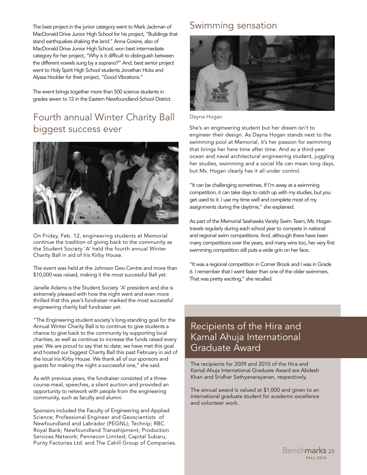The best project in the junior category went to Mark Jackman of MacDonald Drive Junior High School for his project, "Buildings that stand earthquakes shaking the land." Anna Gosine, also of MacDonald Drive Junior High School, won best intermediate category for her project, "Why is it difficult to distinguish between the different vowels sung by a soprano?" And, best senior project went to Holy Spirit High School students Jonathan Hicks and Alyssa Hodder for their project, "Good Vibrations."

The event brings together more than 500 science students in grades seven to 12 in the Eastern Newfoundland School District.

## Fourth annual Winter Charity Ball biggest success ever

![](_page_23_Picture_3.jpeg)

On Friday, Feb. 12, engineering students at Memorial continue the tradition of giving back to the community as the Student Society 'A' held the fourth annual Winter Charity Ball in aid of Iris Kirby House.

The event was held at the Johnson Geo Centre and more than \$10,000 was raised, making it the most successful Ball yet.

Janelle Adams is the Student Society 'A' president and she is extremely pleased with how the night went and even more thrilled that this year's fundraiser marked the most successful engineering charity ball fundraiser yet.

"The Engineering student society's long-standing goal for the Annual Winter Charity Ball is to continue to give students a chance to give back to the community by supporting local charities, as well as continue to increase the funds raised every year. We are proud to say that to date; we have met this goal and hosted our biggest Charity Ball this past February in aid of the local Iris Kirby House. We thank all of our sponsors and guests for making the night a successful one," she said.

As with previous years, the fundraiser consisted of a threecourse-meal, speeches, a silent auction and provided an opportunity to network with people from the engineering community, such as faculty and alumni.

Sponsors included the Faculty of Engineering and Applied Science; Professional Engineer and Geoscientists of Newfoundland and Labrador (PEGNL); Technip; RBC Royal Bank; Newfoundland Transshipment; Production Services Network; Pennecon Limited; Capital Subaru, Purity Factories Ltd. and The Cahill Group of Companies.

#### Swimming sensation

![](_page_23_Picture_11.jpeg)

#### Dayna Hogan

She's an engineering student but her dream isn't to engineer their design. As Dayna Hogan stands next to the swimming pool at Memorial, it's her passion for swimming that brings her here time after time. And as a third-year ocean and naval architectural engineering student, juggling her studies, swimming and a social life can mean long days, but Ms. Hogan clearly has it all under control.

"It can be challenging sometimes. If I'm away at a swimming competition, it can take days to catch up with my studies, but you get used to it. I use my time well and complete most of my assignments during the daytime," she explained.

As part of the Memorial Seahawks Varsity Swim Team, Ms. Hogan travels regularly during each school year to compete in national and regional swim competitions. And, although there have been many competitions over the years, and many wins too, her very first swimming competition still puts a wide grin on her face.

"It was a regional competition in Corner Brook and I was in Grade 6. I remember that I went faster than one of the older swimmers. That was pretty exciting," she recalled.

## Recipients of the Hira and Kamal Ahuja International Graduate Award

The recipients for 2009 and 2010 of the Hira and Kamal Ahuja International Graduate Award are Abdesh Khan and Sridhar Sathyanarayanan, respectively.

The annual award is valued at \$1,000 and given to an international graduate student for academic excellence and volunteer work.

> FALL 2010 Benchmarks 23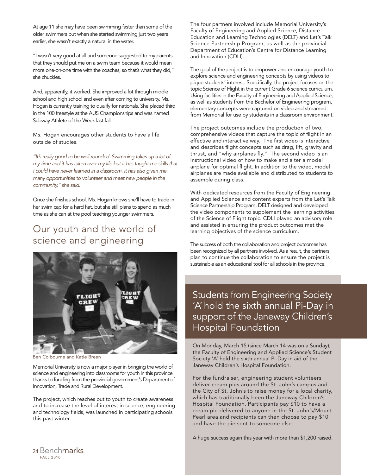At age 11 she may have been swimming faster than some of the older swimmers but when she started swimming just two years earlier, she wasn't exactly a natural in the water.

"I wasn't very good at all and someone suggested to my parents that they should put me on a swim team because it would mean more one-on-one time with the coaches, so that's what they did," she chuckles.

And, apparently, it worked. She improved a lot through middle school and high school and even after coming to university. Ms. Hogan is currently training to qualify for nationals. She placed third in the 100 freestyle at the AUS Championships and was named Subway Athlete of the Week last fall.

Ms. Hogan encourages other students to have a life outside of studies.

*"It's really good to be well-rounded. Swimming takes up a lot of my time and it has taken over my life but it has taught me skills that I could have never learned in a classroom. It has also given me many opportunities to volunteer and meet new people in the community," she said.*

Once she finishes school, Ms. Hogan knows she'll have to trade in her swim cap for a hard hat, but she still plans to spend as much time as she can at the pool teaching younger swimmers.

## Our youth and the world of science and engineering

![](_page_24_Picture_7.jpeg)

Ben Colbourne and Katie Breen

Memorial University is now a major player in bringing the world of science and engineering into classrooms for youth in this province thanks to funding from the provincial government's Department of Innovation, Trade and Rural Development.

The project, which reaches out to youth to create awareness and to increase the level of interest in science, engineering and technology fields, was launched in participating schools this past winter.

The four partners involved include Memorial University's Faculty of Engineering and Applied Science, Distance Education and Learning Technologies (DELT) and Let's Talk Science Partnership Program, as well as the provincial Department of Education's Centre for Distance Learning and Innovation (CDLI).

The goal of the project is to empower and encourage youth to explore science and engineering concepts by using videos to pique students' interest. Specifically, the project focuses on the topic Science of Flight in the current Grade 6 science curriculum. Using facilities in the Faculty of Engineering and Applied Science, as well as students from the Bachelor of Engineering program, elementary concepts were captured on video and streamed from Memorial for use by students in a classroom environment.

The project outcomes include the production of two, comprehensive videos that capture the topic of flight in an effective and interactive way. The first video is interactive and describes flight concepts such as drag, lift, gravity and thrust, and "why airplanes fly." The second video is an instructional video of how to make and alter a model airplane for optimal flight. In addition to the video, model airplanes are made available and distributed to students to assemble during class.

With dedicated resources from the Faculty of Engineering and Applied Science and content experts from the Let's Talk Science Partnership Program, DELT designed and developed the video components to supplement the learning activities of the Science of Flight topic. CDLI played an advisory role and assisted in ensuring the product outcomes met the learning objectives of the science curriculum.

The success of both the collaboration and project outcomes has been recognized by all partners involved. As a result, the partners plan to continue the collaboration to ensure the project is sustainable as an educational tool for all schools in the province.

Students from Engineering Society 'A' hold the sixth annual Pi-Day in support of the Janeway Children's Hospital Foundation

On Monday, March 15 (since March 14 was on a Sunday), the Faculty of Engineering and Applied Science's Student Society 'A' held the sixth annual Pi-Day in aid of the Janeway Children's Hospital Foundation.

For the fundraiser, engineering student volunteers deliver cream pies around the St. John's campus and the City of St. John's to raise money for a local charity, which has traditionally been the Janeway Children's Hospital Foundation. Participants pay \$10 to have a cream pie delivered to anyone in the St. John's/Mount Pearl area and recipients can then choose to pay \$10 and have the pie sent to someone else.

A huge success again this year with more than \$1,200 raised.

![](_page_24_Picture_20.jpeg)